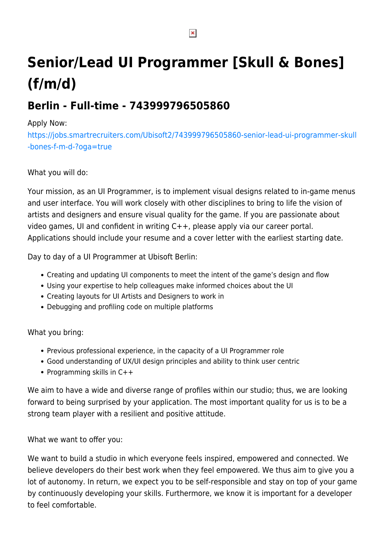# **Senior/Lead UI Programmer [Skull & Bones] (f/m/d)**

# **Berlin - Full-time - 743999796505860**

## Apply Now:

[https://jobs.smartrecruiters.com/Ubisoft2/743999796505860-senior-lead-ui-programmer-skull](https://jobs.smartrecruiters.com/Ubisoft2/743999796505860-senior-lead-ui-programmer-skull-bones-f-m-d-?oga=true) [-bones-f-m-d-?oga=true](https://jobs.smartrecruiters.com/Ubisoft2/743999796505860-senior-lead-ui-programmer-skull-bones-f-m-d-?oga=true)

# What you will do:

Your mission, as an UI Programmer, is to implement visual designs related to in-game menus and user interface. You will work closely with other disciplines to bring to life the vision of artists and designers and ensure visual quality for the game. If you are passionate about video games, UI and confident in writing C++, please apply via our career portal. Applications should include your resume and a cover letter with the earliest starting date.

Day to day of a UI Programmer at Ubisoft Berlin:

- Creating and updating UI components to meet the intent of the game's design and flow
- Using your expertise to help colleagues make informed choices about the UI
- Creating layouts for UI Artists and Designers to work in
- Debugging and profiling code on multiple platforms

### What you bring:

- Previous professional experience, in the capacity of a UI Programmer role
- Good understanding of UX/UI design principles and ability to think user centric
- Programming skills in  $C++$

We aim to have a wide and diverse range of profiles within our studio; thus, we are looking forward to being surprised by your application. The most important quality for us is to be a strong team player with a resilient and positive attitude.

### What we want to offer you:

We want to build a studio in which everyone feels inspired, empowered and connected. We believe developers do their best work when they feel empowered. We thus aim to give you a lot of autonomy. In return, we expect you to be self-responsible and stay on top of your game by continuously developing your skills. Furthermore, we know it is important for a developer to feel comfortable.

 $\pmb{\times}$